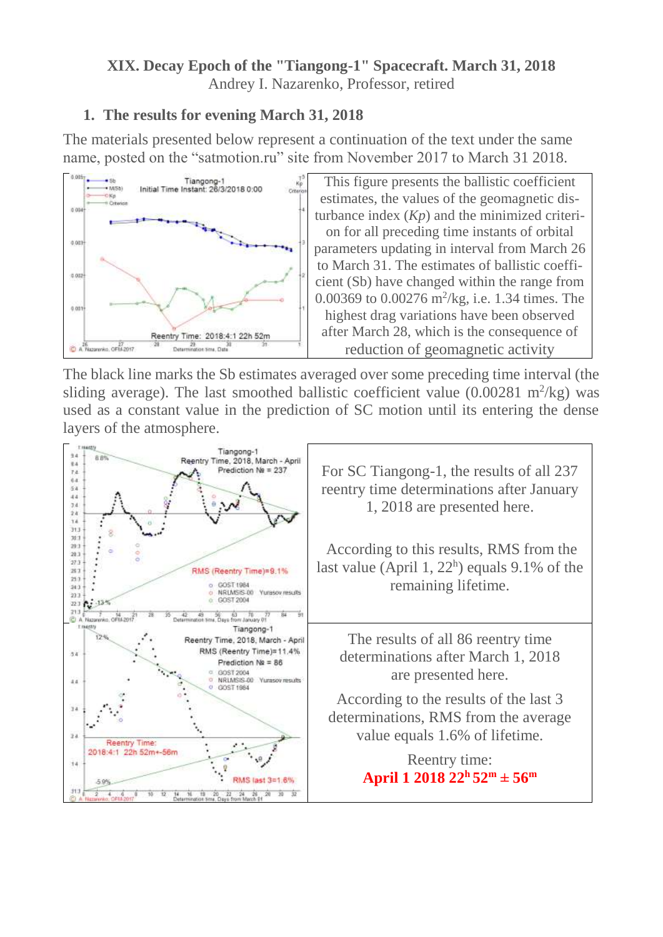### **XIX. Decay Epoch of the "Tiangong-1" Spacecraft. March 31, 2018** Andrey I. Nazarenko, Professor, retired

# **1. The results for evening March 31, 2018**

The materials presented below represent a continuation of the text under the same name, posted on the "satmotion.ru" site from November 2017 to March 31 2018.



This figure presents the ballistic coefficient estimates, the values of the geomagnetic disturbance index (*Kp*) and the minimized criterion for all preceding time instants of orbital parameters updating in interval from March 26 to March 31. The estimates of ballistic coefficient (Sb) have changed within the range from 0.00369 to 0.00276 m<sup>2</sup> /kg, i.e. 1.34 times. The highest drag variations have been observed after March 28, which is the consequence of reduction of geomagnetic activity

The black line marks the Sb estimates averaged over some preceding time interval (the sliding average). The last smoothed ballistic coefficient value  $(0.00281 \text{ m}^2/\text{kg})$  was used as a constant value in the prediction of SC motion until its entering the dense layers of the atmosphere.

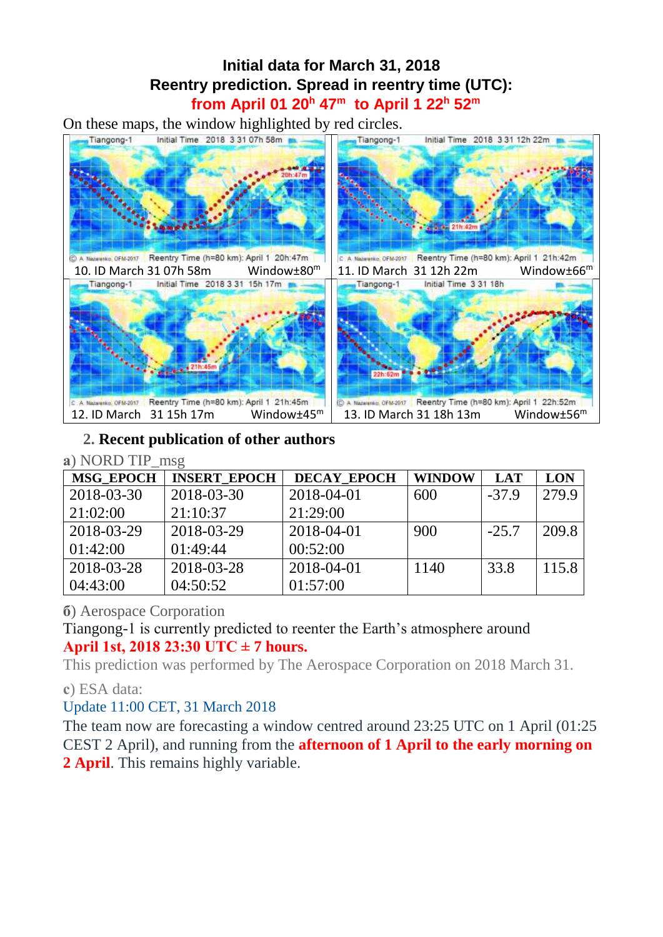# **Initial data for March 31, 2018 Reentry prediction. Spread in reentry time (UTC): from April 01 20<sup>h</sup> 47<sup>m</sup> to April 1 22 <sup>h</sup> 52 m**

On these maps, the window highlighted by red circles.



# **2. Recent publication of other authors**

#### **а**) NORD TIP\_msg

| <b>MSG EPOCH</b> | <b>INSERT EPOCH</b> | <b>DECAY EPOCH</b> | <b>WINDOW</b> | <b>LAT</b> | <b>LON</b> |
|------------------|---------------------|--------------------|---------------|------------|------------|
| 2018-03-30       | 2018-03-30          | 2018-04-01         | 600           | $-37.9$    | 279.9      |
| 21:02:00         | 21:10:37            | 21:29:00           |               |            |            |
| 2018-03-29       | 2018-03-29          | 2018-04-01         | 900           | $-25.7$    | 209.8      |
| 01:42:00         | 01:49:44            | 00:52:00           |               |            |            |
| 2018-03-28       | 2018-03-28          | 2018-04-01         | 1140          | 33.8       | 115.8      |
| 04:43:00         | 04:50:52            | 01:57:00           |               |            |            |

# **б**) Aerospace Corporation

Tiangong-1 is currently predicted to reenter the Earth's atmosphere around **April 1st, 2018 23:30 UTC ± 7 hours.**

This prediction was performed by The Aerospace Corporation on 2018 March 31.

### **с**) ESA data:

Update 11:00 CET, 31 March 2018

The team now are forecasting a window centred around 23:25 UTC on 1 April (01:25 CEST 2 April), and running from the **afternoon of 1 April to the early morning on 2 April**. This remains highly variable.